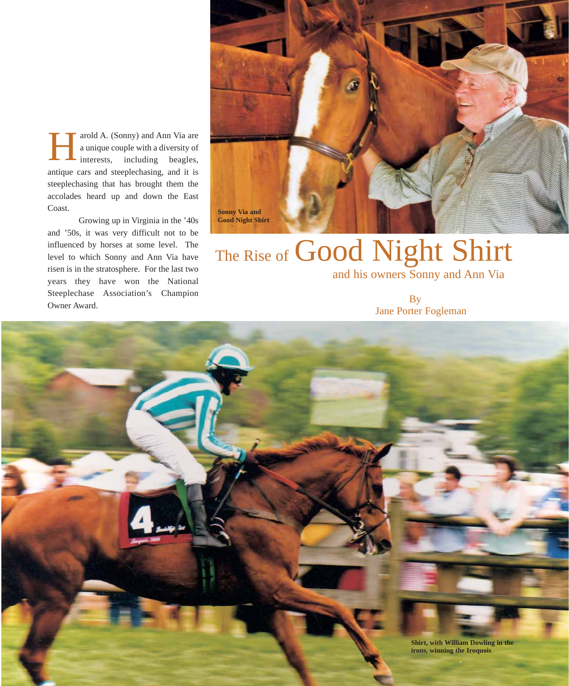arold A. (Sonny) and Ann Via are a unique couple with a diversity of interests, including beagles, antique cars and steeplechasing, and it is steeplechasing that has brought them the accolades heard up and down the East Coast. H

Growing up in Virginia in the '40s and '50s, it was very difficult not to be influenced by horses at some level. The level to which Sonny and Ann Via have risen is in the stratosphere. For the last two years they have won the National Steeplechase Association's Champion Owner Award.



## The Rise of Good Night Shirt and his owners Sonny and Ann Via

By Jane Porter Fogleman

> **Shirt, with William Dowling in the irons, winning the Iroquois**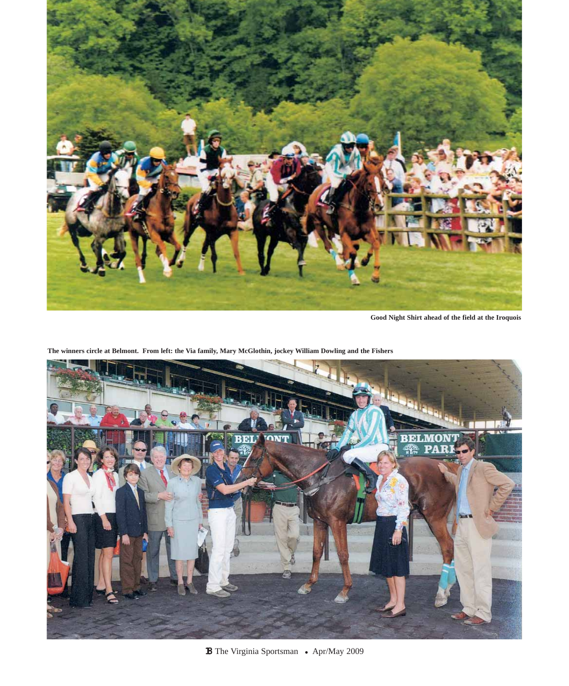

**Good Night Shirt ahead of the field at the Iroquois**

**The winners circle at Belmont. From left: the Via family, Mary McGlothin, jockey William Dowling and the Fishers**

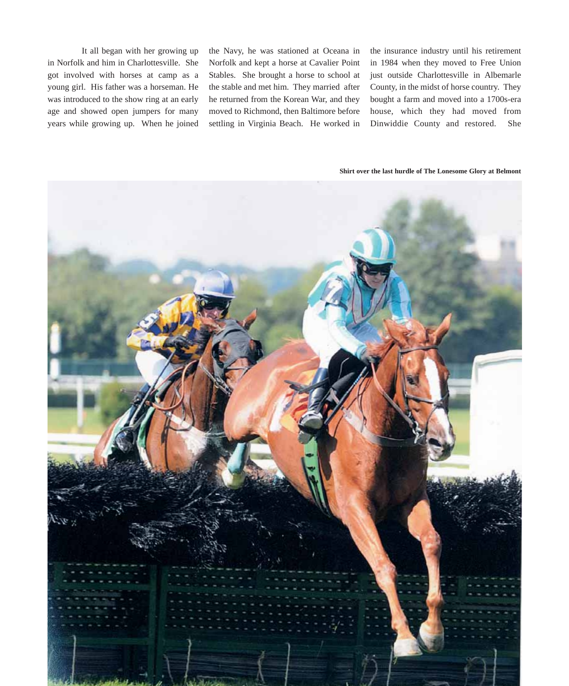It all began with her growing up in Norfolk and him in Charlottesville. She got involved with horses at camp as a young girl. His father was a horseman. He was introduced to the show ring at an early age and showed open jumpers for many years while growing up. When he joined the Navy, he was stationed at Oceana in Norfolk and kept a horse at Cavalier Point Stables. She brought a horse to school at the stable and met him. They married after he returned from the Korean War, and they moved to Richmond, then Baltimore before settling in Virginia Beach. He worked in the insurance industry until his retirement in 1984 when they moved to Free Union just outside Charlottesville in Albemarle County, in the midst of horse country. They bought a farm and moved into a 1700s-era house, which they had moved from Dinwiddie County and restored. She

**Shirt over the last hurdle of The Lonesome Glory at Belmont**

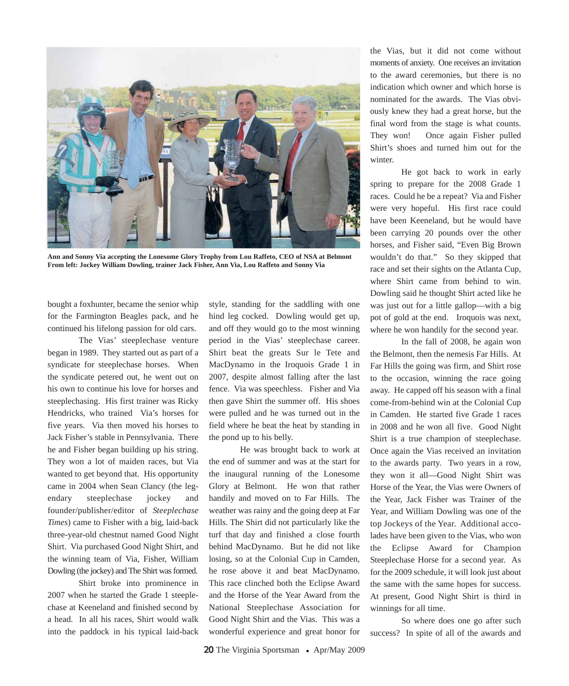

**Ann and Sonny Via accepting the Lonesome Glory Trophy from Lou Raffeto, CEO of NSA at Belmont From left: Jockey William Dowling, trainer Jack Fisher, Ann Via, Lou Raffeto and Sonny Via**

bought a foxhunter, became the senior whip for the Farmington Beagles pack, and he continued his lifelong passion for old cars.

The Vias' steeplechase venture began in 1989. They started out as part of a syndicate for steeplechase horses. When the syndicate petered out, he went out on his own to continue his love for horses and steeplechasing. His first trainer was Ricky Hendricks, who trained Via's horses for five years. Via then moved his horses to Jack Fisher's stable in Pennsylvania. There he and Fisher began building up his string. They won a lot of maiden races, but Via wanted to get beyond that. His opportunity came in 2004 when Sean Clancy (the legendary steeplechase jockey and founder/publisher/editor of *Steeplechase Times*) came to Fisher with a big, laid-back three-year-old chestnut named Good Night Shirt. Via purchased Good Night Shirt, and the winning team of Via, Fisher, William Dowling (the jockey) and The Shirt was formed.

Shirt broke into prominence in 2007 when he started the Grade 1 steeplechase at Keeneland and finished second by a head. In all his races*,* Shirt would walk into the paddock in his typical laid-back style, standing for the saddling with one hind leg cocked. Dowling would get up, and off they would go to the most winning period in the Vias' steeplechase career. Shirt beat the greats Sur le Tete and MacDynamo in the Iroquois Grade 1 in 2007, despite almost falling after the last fence. Via was speechless. Fisher and Via then gave Shirt the summer off. His shoes were pulled and he was turned out in the field where he beat the heat by standing in the pond up to his belly.

He was brought back to work at the end of summer and was at the start for the inaugural running of the Lonesome Glory at Belmont. He won that rather handily and moved on to Far Hills. The weather was rainy and the going deep at Far Hills. The Shirt did not particularly like the turf that day and finished a close fourth behind MacDynamo. But he did not like losing, so at the Colonial Cup in Camden, he rose above it and beat MacDynamo. This race clinched both the Eclipse Award and the Horse of the Year Award from the National Steeplechase Association for Good Night Shirt and the Vias. This was a wonderful experience and great honor for

the Vias, but it did not come without moments of anxiety. One receives an invitation to the award ceremonies, but there is no indication which owner and which horse is nominated for the awards. The Vias obviously knew they had a great horse, but the final word from the stage is what counts. They won! Once again Fisher pulled Shirt's shoes and turned him out for the winter.

He got back to work in early spring to prepare for the 2008 Grade 1 races. Could he be a repeat? Via and Fisher were very hopeful. His first race could have been Keeneland, but he would have been carrying 20 pounds over the other horses, and Fisher said, "Even Big Brown wouldn't do that." So they skipped that race and set their sights on the Atlanta Cup, where Shirt came from behind to win. Dowling said he thought Shirt acted like he was just out for a little gallop—with a big pot of gold at the end. Iroquois was next, where he won handily for the second year.

In the fall of 2008, he again won the Belmont, then the nemesis Far Hills. At Far Hills the going was firm, and Shirt rose to the occasion, winning the race going away. He capped off his season with a final come-from-behind win at the Colonial Cup in Camden. He started five Grade 1 races in 2008 and he won all five. Good Night Shirt is a true champion of steeplechase. Once again the Vias received an invitation to the awards party. Two years in a row, they won it all—Good Night Shirt was Horse of the Year, the Vias were Owners of the Year, Jack Fisher was Trainer of the Year, and William Dowling was one of the top Jockeys of the Year. Additional accolades have been given to the Vias, who won the Eclipse Award for Champion Steeplechase Horse for a second year. As for the 2009 schedule, it will look just about the same with the same hopes for success. At present, Good Night Shirt is third in winnings for all time.

So where does one go after such success? In spite of all of the awards and